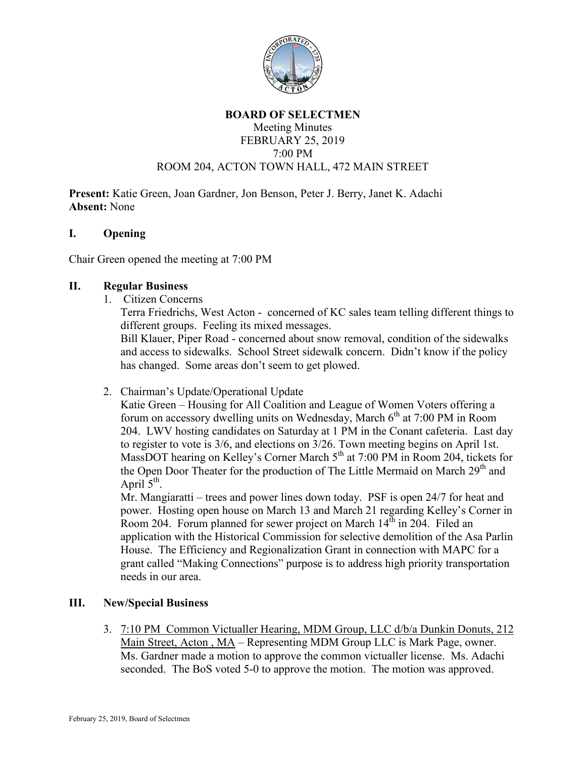

### **BOARD OF SELECTMEN** Meeting Minutes FEBRUARY 25, 2019 7:00 PM ROOM 204, ACTON TOWN HALL, 472 MAIN STREET

**Present:** Katie Green, Joan Gardner, Jon Benson, Peter J. Berry, Janet K. Adachi **Absent:** None

### **I. Opening**

Chair Green opened the meeting at 7:00 PM

### **II. Regular Business**

1. Citizen Concerns

Terra Friedrichs, West Acton - concerned of KC sales team telling different things to different groups. Feeling its mixed messages.

Bill Klauer, Piper Road - concerned about snow removal, condition of the sidewalks and access to sidewalks. School Street sidewalk concern. Didn't know if the policy has changed. Some areas don't seem to get plowed.

2. Chairman's Update/Operational Update

Katie Green – Housing for All Coalition and League of Women Voters offering a forum on accessory dwelling units on Wednesday, March  $6<sup>th</sup>$  at 7:00 PM in Room 204. LWV hosting candidates on Saturday at 1 PM in the Conant cafeteria. Last day to register to vote is 3/6, and elections on 3/26. Town meeting begins on April 1st. MassDOT hearing on Kelley's Corner March 5<sup>th</sup> at 7:00 PM in Room 204, tickets for the Open Door Theater for the production of The Little Mermaid on March 29<sup>th</sup> and April  $5<sup>th</sup>$ .

Mr. Mangiaratti – trees and power lines down today. PSF is open 24/7 for heat and power. Hosting open house on March 13 and March 21 regarding Kelley's Corner in Room 204. Forum planned for sewer project on March  $14<sup>th</sup>$  in 204. Filed an application with the Historical Commission for selective demolition of the Asa Parlin House. The Efficiency and Regionalization Grant in connection with MAPC for a grant called "Making Connections" purpose is to address high priority transportation needs in our area.

# **III. New/Special Business**

3. 7:10 PM Common Victualler Hearing, MDM Group, LLC d/b/a Dunkin Donuts, 212 Main Street, Acton , MA – Representing MDM Group LLC is Mark Page, owner. Ms. Gardner made a motion to approve the common victualler license. Ms. Adachi seconded. The BoS voted 5-0 to approve the motion. The motion was approved.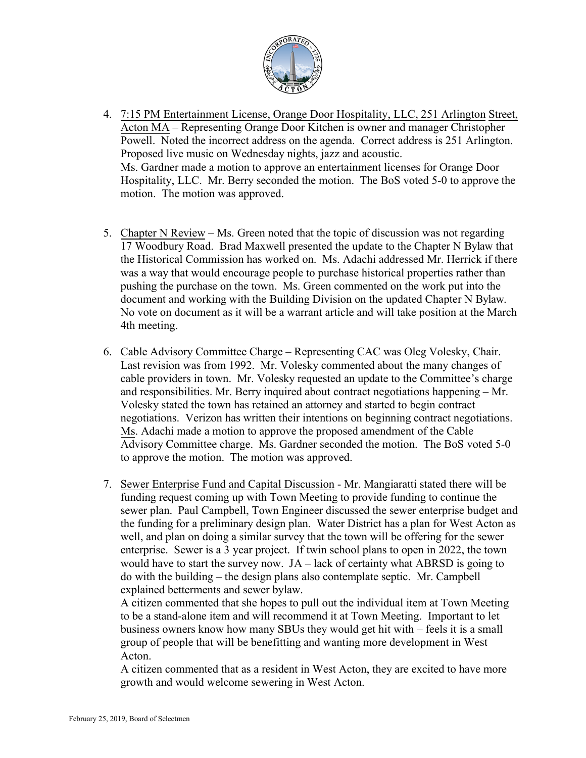

- 4. 7:15 PM Entertainment License, Orange Door Hospitality, LLC, 251 Arlington Street, Acton MA – Representing Orange Door Kitchen is owner and manager Christopher Powell. Noted the incorrect address on the agenda. Correct address is 251 Arlington. Proposed live music on Wednesday nights, jazz and acoustic. Ms. Gardner made a motion to approve an entertainment licenses for Orange Door Hospitality, LLC. Mr. Berry seconded the motion. The BoS voted 5-0 to approve the motion. The motion was approved.
- 5. Chapter N Review Ms. Green noted that the topic of discussion was not regarding 17 Woodbury Road. Brad Maxwell presented the update to the Chapter N Bylaw that the Historical Commission has worked on. Ms. Adachi addressed Mr. Herrick if there was a way that would encourage people to purchase historical properties rather than pushing the purchase on the town. Ms. Green commented on the work put into the document and working with the Building Division on the updated Chapter N Bylaw. No vote on document as it will be a warrant article and will take position at the March 4th meeting.
- 6. Cable Advisory Committee Charge Representing CAC was Oleg Volesky, Chair. Last revision was from 1992. Mr. Volesky commented about the many changes of cable providers in town. Mr. Volesky requested an update to the Committee's charge and responsibilities. Mr. Berry inquired about contract negotiations happening – Mr. Volesky stated the town has retained an attorney and started to begin contract negotiations. Verizon has written their intentions on beginning contract negotiations. Ms. Adachi made a motion to approve the proposed amendment of the Cable Advisory Committee charge. Ms. Gardner seconded the motion. The BoS voted 5-0 to approve the motion. The motion was approved.
- 7. Sewer Enterprise Fund and Capital Discussion Mr. Mangiaratti stated there will be funding request coming up with Town Meeting to provide funding to continue the sewer plan. Paul Campbell, Town Engineer discussed the sewer enterprise budget and the funding for a preliminary design plan. Water District has a plan for West Acton as well, and plan on doing a similar survey that the town will be offering for the sewer enterprise. Sewer is a 3 year project. If twin school plans to open in 2022, the town would have to start the survey now. JA – lack of certainty what ABRSD is going to do with the building – the design plans also contemplate septic. Mr. Campbell explained betterments and sewer bylaw.

A citizen commented that she hopes to pull out the individual item at Town Meeting to be a stand-alone item and will recommend it at Town Meeting. Important to let business owners know how many SBUs they would get hit with – feels it is a small group of people that will be benefitting and wanting more development in West Acton.

A citizen commented that as a resident in West Acton, they are excited to have more growth and would welcome sewering in West Acton.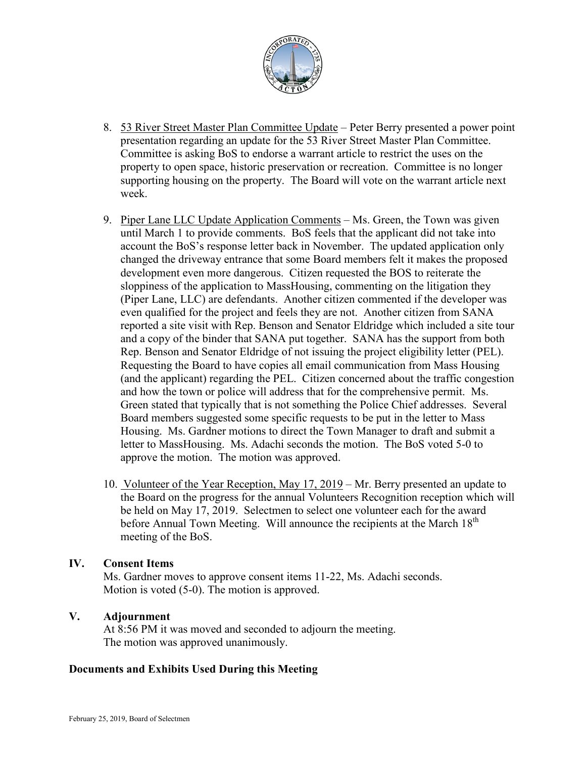

- 8. 53 River Street Master Plan Committee Update Peter Berry presented a power point presentation regarding an update for the 53 River Street Master Plan Committee. Committee is asking BoS to endorse a warrant article to restrict the uses on the property to open space, historic preservation or recreation. Committee is no longer supporting housing on the property. The Board will vote on the warrant article next week.
- 9. Piper Lane LLC Update Application Comments Ms. Green, the Town was given until March 1 to provide comments. BoS feels that the applicant did not take into account the BoS's response letter back in November. The updated application only changed the driveway entrance that some Board members felt it makes the proposed development even more dangerous. Citizen requested the BOS to reiterate the sloppiness of the application to MassHousing, commenting on the litigation they (Piper Lane, LLC) are defendants. Another citizen commented if the developer was even qualified for the project and feels they are not. Another citizen from SANA reported a site visit with Rep. Benson and Senator Eldridge which included a site tour and a copy of the binder that SANA put together. SANA has the support from both Rep. Benson and Senator Eldridge of not issuing the project eligibility letter (PEL). Requesting the Board to have copies all email communication from Mass Housing (and the applicant) regarding the PEL. Citizen concerned about the traffic congestion and how the town or police will address that for the comprehensive permit. Ms. Green stated that typically that is not something the Police Chief addresses. Several Board members suggested some specific requests to be put in the letter to Mass Housing. Ms. Gardner motions to direct the Town Manager to draft and submit a letter to MassHousing. Ms. Adachi seconds the motion. The BoS voted 5-0 to approve the motion. The motion was approved.
- 10. Volunteer of the Year Reception, May 17, 2019 Mr. Berry presented an update to the Board on the progress for the annual Volunteers Recognition reception which will be held on May 17, 2019. Selectmen to select one volunteer each for the award before Annual Town Meeting. Will announce the recipients at the March 18<sup>th</sup> meeting of the BoS.

# **IV. Consent Items**

Ms. Gardner moves to approve consent items 11-22, Ms. Adachi seconds. Motion is voted (5-0). The motion is approved.

# **V. Adjournment**

At 8:56 PM it was moved and seconded to adjourn the meeting. The motion was approved unanimously.

#### **Documents and Exhibits Used During this Meeting**